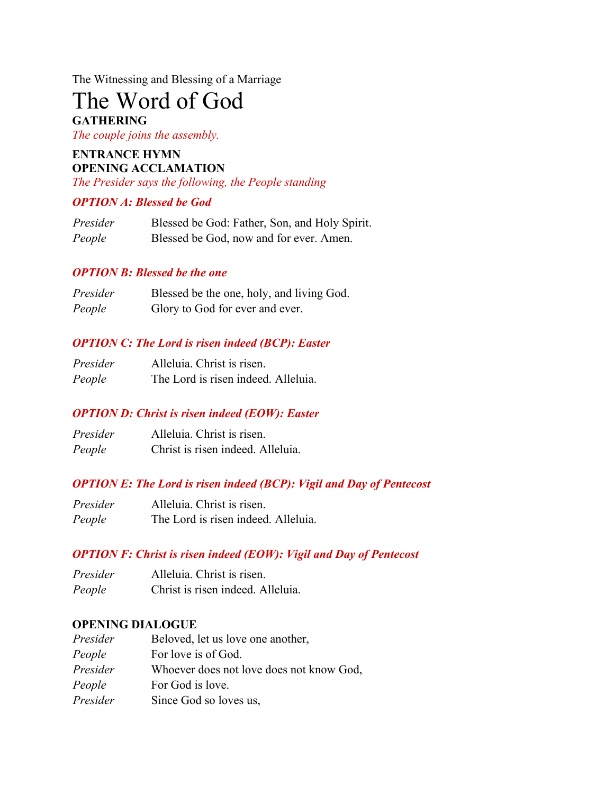The Witnessing and Blessing of a Marriage

# The Word of God

**GATHERING**

*The couple joins the assembly.*

#### **ENTRANCE HYMN OPENING ACCLAMATION**

*The Presider says the following, the People standing*

## *OPTION A: Blessed be God*

| Presider | Blessed be God: Father, Son, and Holy Spirit. |
|----------|-----------------------------------------------|
| People   | Blessed be God, now and for ever. Amen.       |

#### *OPTION B: Blessed be the one*

| Presider | Blessed be the one, holy, and living God. |
|----------|-------------------------------------------|
| People   | Glory to God for ever and ever.           |

## *OPTION C: The Lord is risen indeed (BCP): Easter*

| Presider | Alleluia. Christ is risen.          |
|----------|-------------------------------------|
| People   | The Lord is risen indeed. Alleluia. |

## *OPTION D: Christ is risen indeed (EOW): Easter*

| Presider | Alleluia. Christ is risen.        |
|----------|-----------------------------------|
| People   | Christ is risen indeed. Alleluia. |

#### *OPTION E: The Lord is risen indeed (BCP): Vigil and Day of Pentecost*

| Presider | Alleluia. Christ is risen.          |
|----------|-------------------------------------|
| People   | The Lord is risen indeed. Alleluia. |

#### *OPTION F: Christ is risen indeed (EOW): Vigil and Day of Pentecost*

| Presider | Alleluia. Christ is risen.        |
|----------|-----------------------------------|
| People   | Christ is risen indeed. Alleluia. |

## **OPENING DIALOGUE**

| Presider | Beloved, let us love one another,        |
|----------|------------------------------------------|
| People   | For love is of God.                      |
| Presider | Whoever does not love does not know God, |
| People   | For God is love.                         |
| Presider | Since God so loves us,                   |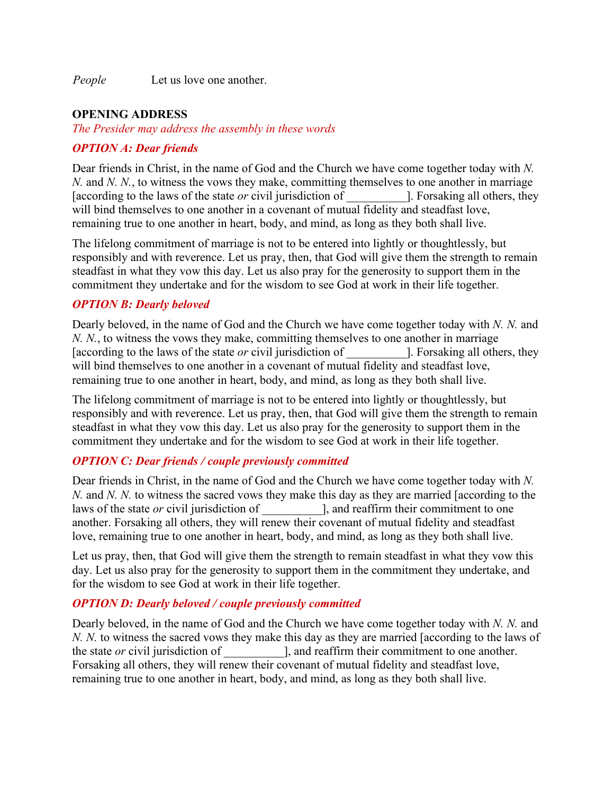*People* Let us love one another.

#### **OPENING ADDRESS**

*The Presider may address the assembly in these words*

## *OPTION A: Dear friends*

Dear friends in Christ, in the name of God and the Church we have come together today with *N. N.* and *N. N.*, to witness the vows they make, committing themselves to one another in marriage [according to the laws of the state *or* civil jurisdiction of ]. Forsaking all others, they will bind themselves to one another in a covenant of mutual fidelity and steadfast love, remaining true to one another in heart, body, and mind, as long as they both shall live.

The lifelong commitment of marriage is not to be entered into lightly or thoughtlessly, but responsibly and with reverence. Let us pray, then, that God will give them the strength to remain steadfast in what they vow this day. Let us also pray for the generosity to support them in the commitment they undertake and for the wisdom to see God at work in their life together.

#### *OPTION B: Dearly beloved*

Dearly beloved, in the name of God and the Church we have come together today with *N. N.* and *N. N.*, to witness the vows they make, committing themselves to one another in marriage [according to the laws of the state *or* civil jurisdiction of  $\Box$ ]. Forsaking all others, they will bind themselves to one another in a covenant of mutual fidelity and steadfast love, remaining true to one another in heart, body, and mind, as long as they both shall live.

The lifelong commitment of marriage is not to be entered into lightly or thoughtlessly, but responsibly and with reverence. Let us pray, then, that God will give them the strength to remain steadfast in what they vow this day. Let us also pray for the generosity to support them in the commitment they undertake and for the wisdom to see God at work in their life together.

## *OPTION C: Dear friends / couple previously committed*

Dear friends in Christ, in the name of God and the Church we have come together today with *N. N.* and *N. N.* to witness the sacred vows they make this day as they are married [according to the laws of the state *or* civil jurisdiction of  $\qquad \qquad$  ], and reaffirm their commitment to one another. Forsaking all others, they will renew their covenant of mutual fidelity and steadfast love, remaining true to one another in heart, body, and mind, as long as they both shall live.

Let us pray, then, that God will give them the strength to remain steadfast in what they vow this day. Let us also pray for the generosity to support them in the commitment they undertake, and for the wisdom to see God at work in their life together.

## *OPTION D: Dearly beloved / couple previously committed*

Dearly beloved, in the name of God and the Church we have come together today with *N. N.* and *N. N.* to witness the sacred vows they make this day as they are married [according to the laws of the state *or* civil jurisdiction of \_\_\_\_\_\_\_\_\_\_\_\_\_\_\_], and reaffirm their commitment to one another. Forsaking all others, they will renew their covenant of mutual fidelity and steadfast love, remaining true to one another in heart, body, and mind, as long as they both shall live.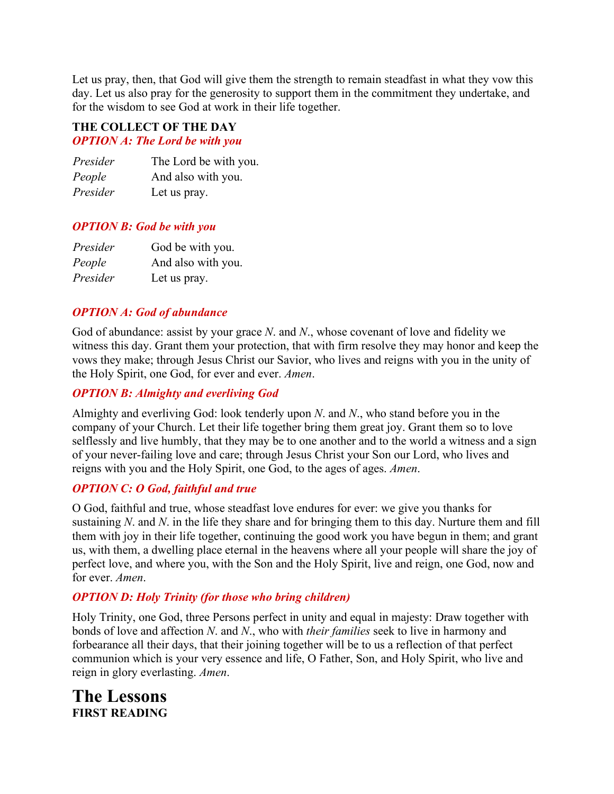Let us pray, then, that God will give them the strength to remain steadfast in what they vow this day. Let us also pray for the generosity to support them in the commitment they undertake, and for the wisdom to see God at work in their life together.

#### **THE COLLECT OF THE DAY** *OPTION A: The Lord be with you*

| Presider | The Lord be with you. |
|----------|-----------------------|
| People   | And also with you.    |
| Presider | Let us pray.          |

## *OPTION B: God be with you*

| Presider | God be with you.   |
|----------|--------------------|
| People   | And also with you. |
| Presider | Let us pray.       |

## *OPTION A: God of abundance*

God of abundance: assist by your grace *N*. and *N*., whose covenant of love and fidelity we witness this day. Grant them your protection, that with firm resolve they may honor and keep the vows they make; through Jesus Christ our Savior, who lives and reigns with you in the unity of the Holy Spirit, one God, for ever and ever. *Amen*.

## *OPTION B: Almighty and everliving God*

Almighty and everliving God: look tenderly upon *N*. and *N*., who stand before you in the company of your Church. Let their life together bring them great joy. Grant them so to love selflessly and live humbly, that they may be to one another and to the world a witness and a sign of your never-failing love and care; through Jesus Christ your Son our Lord, who lives and reigns with you and the Holy Spirit, one God, to the ages of ages. *Amen*.

## *OPTION C: O God, faithful and true*

O God, faithful and true, whose steadfast love endures for ever: we give you thanks for sustaining *N*. and *N*. in the life they share and for bringing them to this day. Nurture them and fill them with joy in their life together, continuing the good work you have begun in them; and grant us, with them, a dwelling place eternal in the heavens where all your people will share the joy of perfect love, and where you, with the Son and the Holy Spirit, live and reign, one God, now and for ever. *Amen*.

## *OPTION D: Holy Trinity (for those who bring children)*

Holy Trinity, one God, three Persons perfect in unity and equal in majesty: Draw together with bonds of love and affection *N*. and *N*., who with *their families* seek to live in harmony and forbearance all their days, that their joining together will be to us a reflection of that perfect communion which is your very essence and life, O Father, Son, and Holy Spirit, who live and reign in glory everlasting. *Amen*.

# **The Lessons FIRST READING**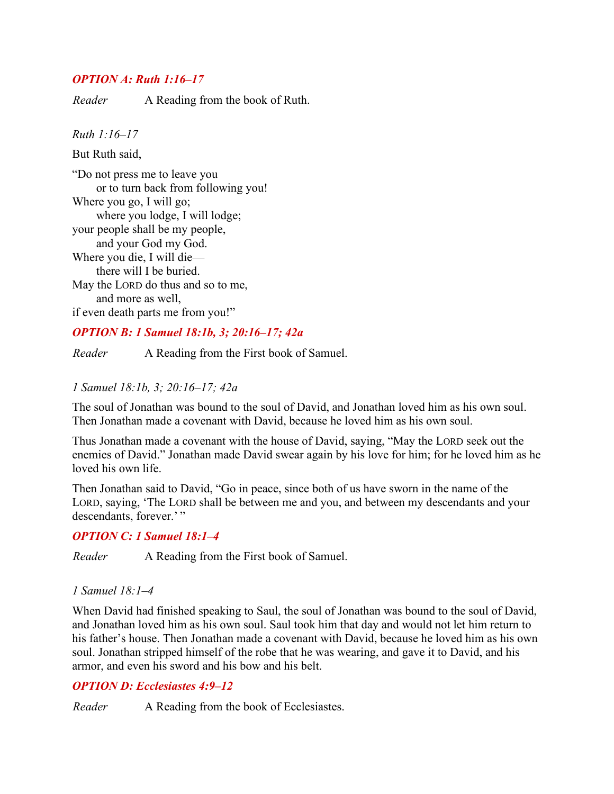## *OPTION A: Ruth 1:16–17*

*Reader* A Reading from the book of Ruth.

*Ruth 1:16–17*

But Ruth said, "Do not press me to leave you or to turn back from following you! Where you go, I will go; where you lodge, I will lodge; your people shall be my people, and your God my God. Where you die, I will die there will I be buried. May the LORD do thus and so to me, and more as well, if even death parts me from you!"

## *OPTION B: 1 Samuel 18:1b, 3; 20:16–17; 42a*

*Reader* A Reading from the First book of Samuel.

*1 Samuel 18:1b, 3; 20:16–17; 42a*

The soul of Jonathan was bound to the soul of David, and Jonathan loved him as his own soul. Then Jonathan made a covenant with David, because he loved him as his own soul.

Thus Jonathan made a covenant with the house of David, saying, "May the LORD seek out the enemies of David." Jonathan made David swear again by his love for him; for he loved him as he loved his own life.

Then Jonathan said to David, "Go in peace, since both of us have sworn in the name of the LORD, saying, 'The LORD shall be between me and you, and between my descendants and your descendants, forever.'"

#### *OPTION C: 1 Samuel 18:1–4*

*Reader* A Reading from the First book of Samuel.

#### *1 Samuel 18:1–4*

When David had finished speaking to Saul, the soul of Jonathan was bound to the soul of David, and Jonathan loved him as his own soul. Saul took him that day and would not let him return to his father's house. Then Jonathan made a covenant with David, because he loved him as his own soul. Jonathan stripped himself of the robe that he was wearing, and gave it to David, and his armor, and even his sword and his bow and his belt.

#### *OPTION D: Ecclesiastes 4:9–12*

*Reader* A Reading from the book of Ecclesiastes.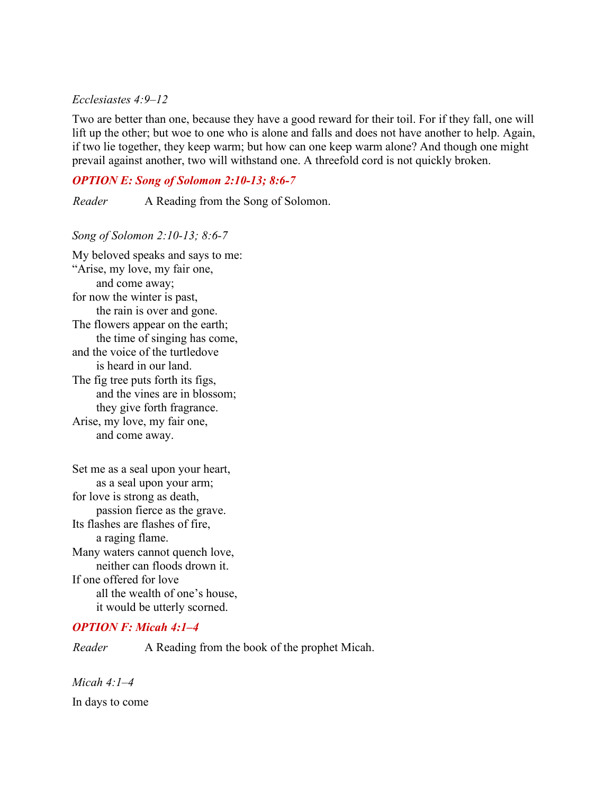#### *Ecclesiastes 4:9–12*

Two are better than one, because they have a good reward for their toil. For if they fall, one will lift up the other; but woe to one who is alone and falls and does not have another to help. Again, if two lie together, they keep warm; but how can one keep warm alone? And though one might prevail against another, two will withstand one. A threefold cord is not quickly broken.

#### *OPTION E: Song of Solomon 2:10-13; 8:6-7*

*Reader* A Reading from the Song of Solomon.

#### *Song of Solomon 2:10-13; 8:6-7*

My beloved speaks and says to me: "Arise, my love, my fair one, and come away; for now the winter is past, the rain is over and gone. The flowers appear on the earth; the time of singing has come, and the voice of the turtledove is heard in our land. The fig tree puts forth its figs, and the vines are in blossom; they give forth fragrance. Arise, my love, my fair one, and come away.

Set me as a seal upon your heart, as a seal upon your arm; for love is strong as death, passion fierce as the grave. Its flashes are flashes of fire, a raging flame. Many waters cannot quench love, neither can floods drown it. If one offered for love all the wealth of one's house, it would be utterly scorned.

#### *OPTION F: Micah 4:1–4*

*Reader* A Reading from the book of the prophet Micah.

*Micah 4:1–4* In days to come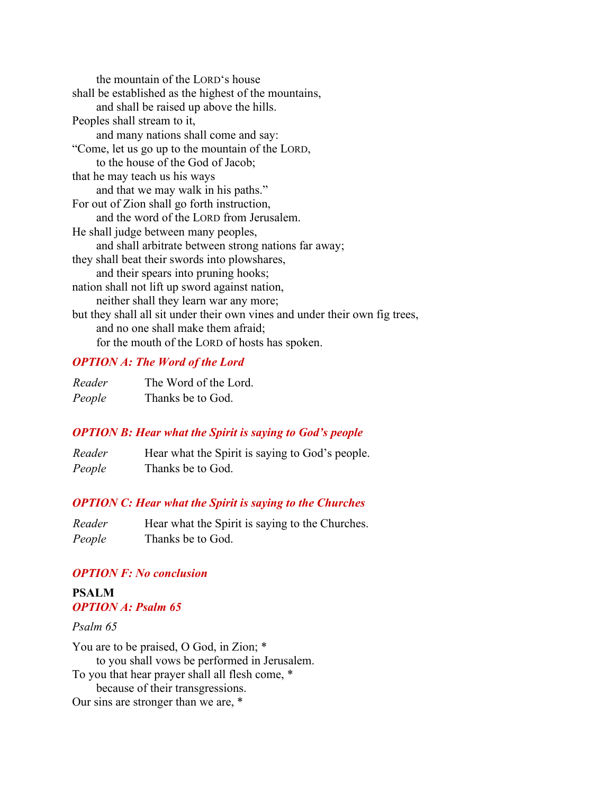the mountain of the LORD's house shall be established as the highest of the mountains, and shall be raised up above the hills. Peoples shall stream to it, and many nations shall come and say: "Come, let us go up to the mountain of the LORD, to the house of the God of Jacob; that he may teach us his ways and that we may walk in his paths." For out of Zion shall go forth instruction, and the word of the LORD from Jerusalem. He shall judge between many peoples, and shall arbitrate between strong nations far away; they shall beat their swords into plowshares, and their spears into pruning hooks; nation shall not lift up sword against nation, neither shall they learn war any more; but they shall all sit under their own vines and under their own fig trees, and no one shall make them afraid; for the mouth of the LORD of hosts has spoken.

#### *OPTION A: The Word of the Lord*

| Reader | The Word of the Lord. |
|--------|-----------------------|
| People | Thanks be to God.     |

#### *OPTION B: Hear what the Spirit is saying to God's people*

| Reader | Hear what the Spirit is saying to God's people. |
|--------|-------------------------------------------------|
| People | Thanks be to God.                               |

## *OPTION C: Hear what the Spirit is saying to the Churches*

| Reader | Hear what the Spirit is saying to the Churches. |
|--------|-------------------------------------------------|
| People | Thanks be to God.                               |

## *OPTION F: No conclusion*

**PSALM** *OPTION A: Psalm 65*

#### *Psalm 65*

You are to be praised, O God, in Zion; \* to you shall vows be performed in Jerusalem. To you that hear prayer shall all flesh come, \* because of their transgressions. Our sins are stronger than we are, \*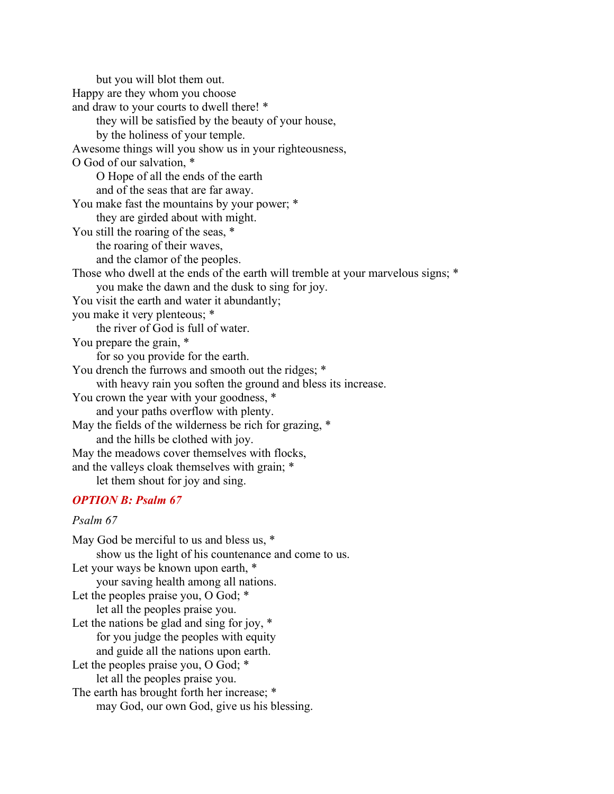but you will blot them out. Happy are they whom you choose and draw to your courts to dwell there! \* they will be satisfied by the beauty of your house, by the holiness of your temple. Awesome things will you show us in your righteousness, O God of our salvation, \* O Hope of all the ends of the earth and of the seas that are far away. You make fast the mountains by your power; \* they are girded about with might. You still the roaring of the seas, \* the roaring of their waves, and the clamor of the peoples. Those who dwell at the ends of the earth will tremble at your marvelous signs; \* you make the dawn and the dusk to sing for joy. You visit the earth and water it abundantly; you make it very plenteous; \* the river of God is full of water. You prepare the grain, \* for so you provide for the earth. You drench the furrows and smooth out the ridges; \* with heavy rain you soften the ground and bless its increase. You crown the year with your goodness, \* and your paths overflow with plenty. May the fields of the wilderness be rich for grazing,  $*$ and the hills be clothed with joy. May the meadows cover themselves with flocks, and the valleys cloak themselves with grain; \* let them shout for joy and sing. *OPTION B: Psalm 67*

#### *Psalm 67*

May God be merciful to us and bless us, \* show us the light of his countenance and come to us. Let your ways be known upon earth,  $*$ your saving health among all nations. Let the peoples praise you, O God;  $*$ let all the peoples praise you. Let the nations be glad and sing for joy, \* for you judge the peoples with equity and guide all the nations upon earth. Let the peoples praise you, O God;  $*$ let all the peoples praise you. The earth has brought forth her increase; \* may God, our own God, give us his blessing.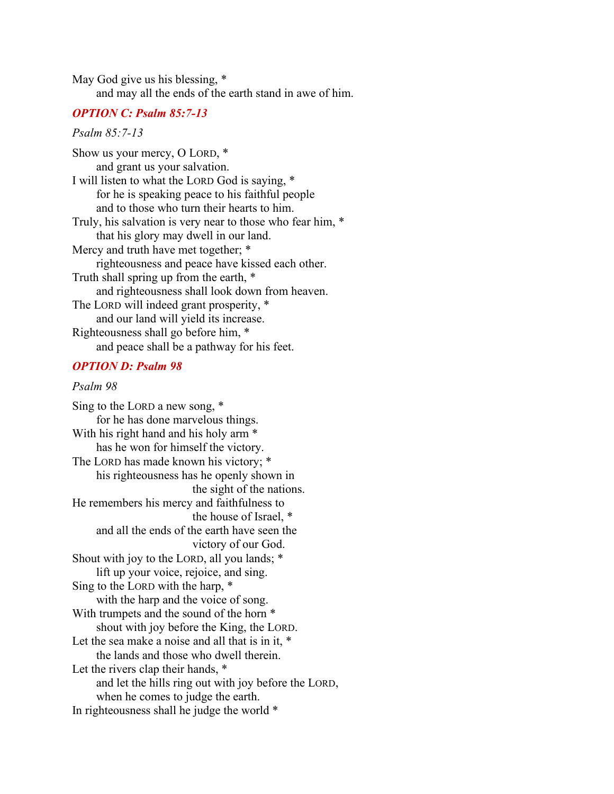May God give us his blessing, \* and may all the ends of the earth stand in awe of him.

#### *OPTION C: Psalm 85:7-13*

#### *Psalm 85:7-13*

Show us your mercy, O LORD, \* and grant us your salvation. I will listen to what the LORD God is saying, \* for he is speaking peace to his faithful people and to those who turn their hearts to him. Truly, his salvation is very near to those who fear him, \* that his glory may dwell in our land. Mercy and truth have met together; \* righteousness and peace have kissed each other. Truth shall spring up from the earth, \* and righteousness shall look down from heaven. The LORD will indeed grant prosperity, \* and our land will yield its increase. Righteousness shall go before him, \* and peace shall be a pathway for his feet.

#### *OPTION D: Psalm 98*

#### *Psalm 98*

Sing to the LORD a new song, \* for he has done marvelous things. With his right hand and his holy arm  $*$ has he won for himself the victory. The LORD has made known his victory; \* his righteousness has he openly shown in the sight of the nations. He remembers his mercy and faithfulness to the house of Israel, \* and all the ends of the earth have seen the victory of our God. Shout with joy to the LORD, all you lands; \* lift up your voice, rejoice, and sing. Sing to the LORD with the harp, \* with the harp and the voice of song. With trumpets and the sound of the horn  $*$ shout with joy before the King, the LORD. Let the sea make a noise and all that is in it.  $*$ the lands and those who dwell therein. Let the rivers clap their hands.  $*$ and let the hills ring out with joy before the LORD, when he comes to judge the earth. In righteousness shall he judge the world \*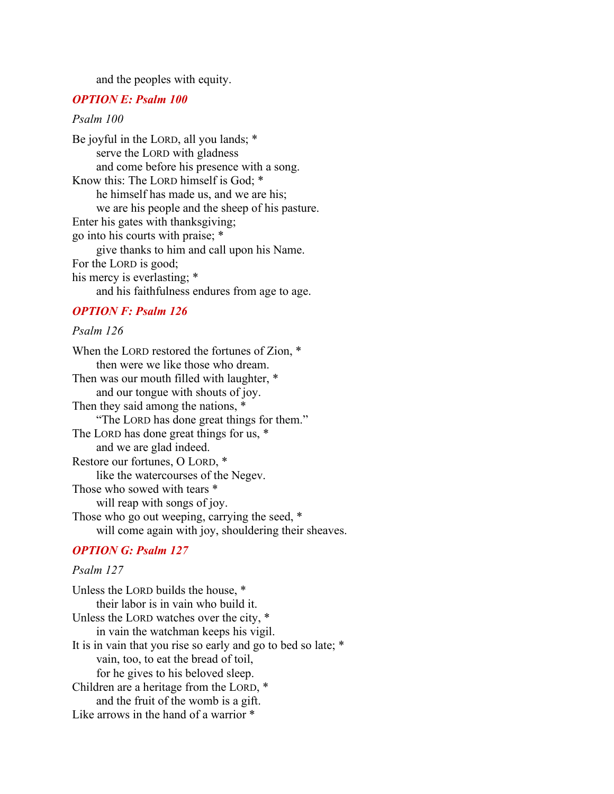and the peoples with equity.

#### *OPTION E: Psalm 100*

#### *Psalm 100*

Be joyful in the LORD, all you lands; \* serve the LORD with gladness and come before his presence with a song. Know this: The LORD himself is God; \* he himself has made us, and we are his; we are his people and the sheep of his pasture. Enter his gates with thanksgiving; go into his courts with praise; \* give thanks to him and call upon his Name. For the LORD is good; his mercy is everlasting; \* and his faithfulness endures from age to age.

#### *OPTION F: Psalm 126*

#### *Psalm 126*

When the LORD restored the fortunes of Zion, \* then were we like those who dream. Then was our mouth filled with laughter, \* and our tongue with shouts of joy. Then they said among the nations, \* "The LORD has done great things for them." The LORD has done great things for us, \* and we are glad indeed. Restore our fortunes, O LORD, \* like the watercourses of the Negev. Those who sowed with tears \* will reap with songs of joy. Those who go out weeping, carrying the seed, \* will come again with joy, shouldering their sheaves.

#### *OPTION G: Psalm 127*

#### *Psalm 127*

Unless the LORD builds the house, \* their labor is in vain who build it. Unless the LORD watches over the city, \* in vain the watchman keeps his vigil. It is in vain that you rise so early and go to bed so late; \* vain, too, to eat the bread of toil, for he gives to his beloved sleep. Children are a heritage from the LORD, \* and the fruit of the womb is a gift. Like arrows in the hand of a warrior  $*$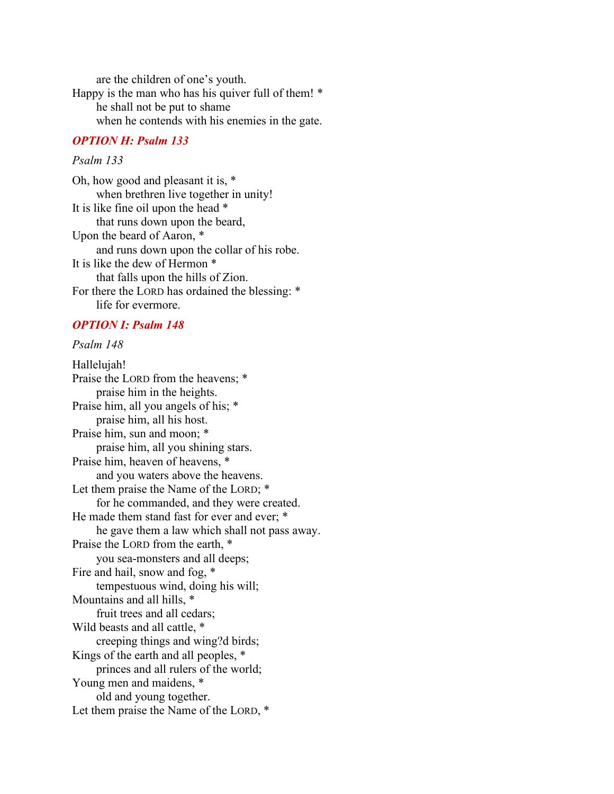are the children of one's youth. Happy is the man who has his quiver full of them! \* he shall not be put to shame when he contends with his enemies in the gate.

#### *OPTION H: Psalm 133*

#### *Psalm 133*

Oh, how good and pleasant it is, \* when brethren live together in unity! It is like fine oil upon the head \* that runs down upon the beard, Upon the beard of Aaron, \* and runs down upon the collar of his robe. It is like the dew of Hermon \* that falls upon the hills of Zion. For there the LORD has ordained the blessing: \* life for evermore.

#### *OPTION I: Psalm 148*

#### *Psalm 148*

Hallelujah! Praise the LORD from the heavens; \* praise him in the heights. Praise him, all you angels of his; \* praise him, all his host. Praise him, sun and moon; \* praise him, all you shining stars. Praise him, heaven of heavens, \* and you waters above the heavens. Let them praise the Name of the LORD; \* for he commanded, and they were created. He made them stand fast for ever and ever; \* he gave them a law which shall not pass away. Praise the LORD from the earth, \* you sea-monsters and all deeps; Fire and hail, snow and fog, \* tempestuous wind, doing his will; Mountains and all hills, \* fruit trees and all cedars; Wild beasts and all cattle, \* creeping things and wing?d birds; Kings of the earth and all peoples, \* princes and all rulers of the world; Young men and maidens, \* old and young together. Let them praise the Name of the LORD, \*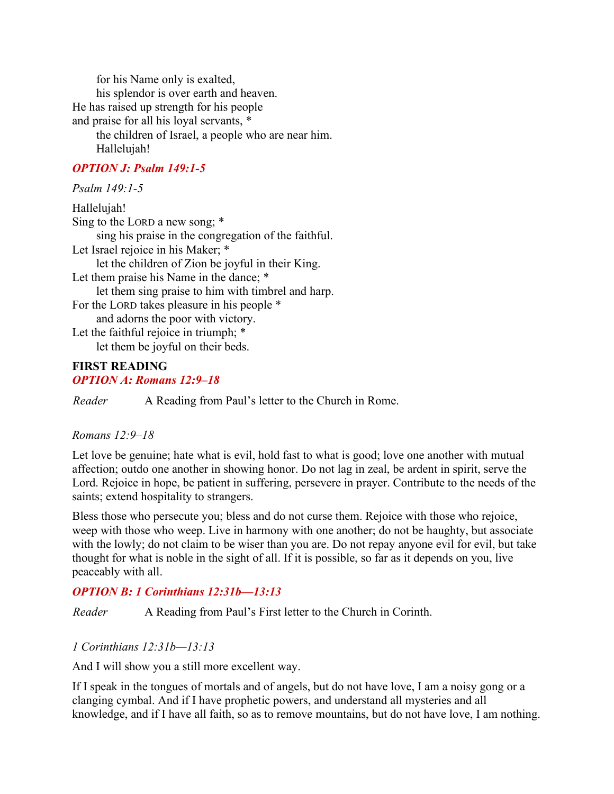for his Name only is exalted, his splendor is over earth and heaven. He has raised up strength for his people and praise for all his loyal servants, \*

the children of Israel, a people who are near him. Hallelujah!

## *OPTION J: Psalm 149:1-5*

*Psalm 149:1-5* Hallelujah! Sing to the LORD a new song; \* sing his praise in the congregation of the faithful. Let Israel rejoice in his Maker; \* let the children of Zion be joyful in their King. Let them praise his Name in the dance;  $*$ let them sing praise to him with timbrel and harp. For the LORD takes pleasure in his people \* and adorns the poor with victory. Let the faithful rejoice in triumph;  $*$ let them be joyful on their beds.

#### **FIRST READING**

#### *OPTION A: Romans 12:9–18*

*Reader* A Reading from Paul's letter to the Church in Rome.

#### *Romans 12:9–18*

Let love be genuine; hate what is evil, hold fast to what is good; love one another with mutual affection; outdo one another in showing honor. Do not lag in zeal, be ardent in spirit, serve the Lord. Rejoice in hope, be patient in suffering, persevere in prayer. Contribute to the needs of the saints; extend hospitality to strangers.

Bless those who persecute you; bless and do not curse them. Rejoice with those who rejoice, weep with those who weep. Live in harmony with one another; do not be haughty, but associate with the lowly; do not claim to be wiser than you are. Do not repay anyone evil for evil, but take thought for what is noble in the sight of all. If it is possible, so far as it depends on you, live peaceably with all.

## *OPTION B: 1 Corinthians 12:31b—13:13*

*Reader* A Reading from Paul's First letter to the Church in Corinth.

## *1 Corinthians 12:31b—13:13*

And I will show you a still more excellent way.

If I speak in the tongues of mortals and of angels, but do not have love, I am a noisy gong or a clanging cymbal. And if I have prophetic powers, and understand all mysteries and all knowledge, and if I have all faith, so as to remove mountains, but do not have love, I am nothing.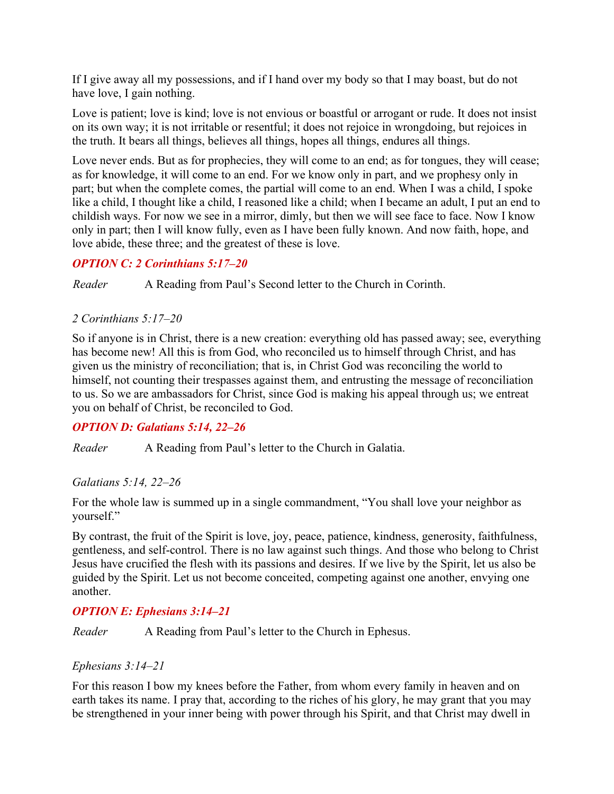If I give away all my possessions, and if I hand over my body so that I may boast, but do not have love, I gain nothing.

Love is patient; love is kind; love is not envious or boastful or arrogant or rude. It does not insist on its own way; it is not irritable or resentful; it does not rejoice in wrongdoing, but rejoices in the truth. It bears all things, believes all things, hopes all things, endures all things.

Love never ends. But as for prophecies, they will come to an end; as for tongues, they will cease; as for knowledge, it will come to an end. For we know only in part, and we prophesy only in part; but when the complete comes, the partial will come to an end. When I was a child, I spoke like a child, I thought like a child, I reasoned like a child; when I became an adult, I put an end to childish ways. For now we see in a mirror, dimly, but then we will see face to face. Now I know only in part; then I will know fully, even as I have been fully known. And now faith, hope, and love abide, these three; and the greatest of these is love.

## *OPTION C: 2 Corinthians 5:17–20*

*Reader* A Reading from Paul's Second letter to the Church in Corinth.

## *2 Corinthians 5:17–20*

So if anyone is in Christ, there is a new creation: everything old has passed away; see, everything has become new! All this is from God, who reconciled us to himself through Christ, and has given us the ministry of reconciliation; that is, in Christ God was reconciling the world to himself, not counting their trespasses against them, and entrusting the message of reconciliation to us. So we are ambassadors for Christ, since God is making his appeal through us; we entreat you on behalf of Christ, be reconciled to God.

## *OPTION D: Galatians 5:14, 22–26*

*Reader* A Reading from Paul's letter to the Church in Galatia.

## *Galatians 5:14, 22–26*

For the whole law is summed up in a single commandment, "You shall love your neighbor as yourself."

By contrast, the fruit of the Spirit is love, joy, peace, patience, kindness, generosity, faithfulness, gentleness, and self-control. There is no law against such things. And those who belong to Christ Jesus have crucified the flesh with its passions and desires. If we live by the Spirit, let us also be guided by the Spirit. Let us not become conceited, competing against one another, envying one another.

## *OPTION E: Ephesians 3:14–21*

*Reader* A Reading from Paul's letter to the Church in Ephesus.

## *Ephesians 3:14–21*

For this reason I bow my knees before the Father, from whom every family in heaven and on earth takes its name. I pray that, according to the riches of his glory, he may grant that you may be strengthened in your inner being with power through his Spirit, and that Christ may dwell in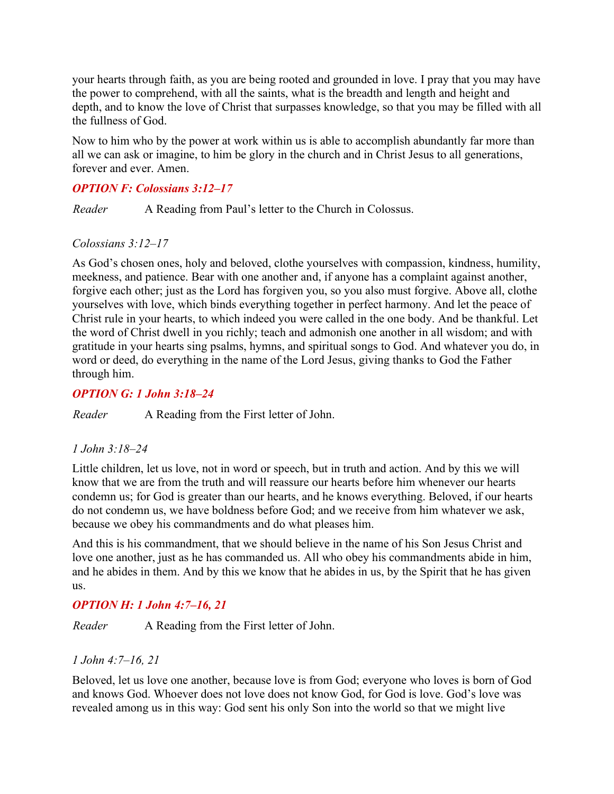your hearts through faith, as you are being rooted and grounded in love. I pray that you may have the power to comprehend, with all the saints, what is the breadth and length and height and depth, and to know the love of Christ that surpasses knowledge, so that you may be filled with all the fullness of God.

Now to him who by the power at work within us is able to accomplish abundantly far more than all we can ask or imagine, to him be glory in the church and in Christ Jesus to all generations, forever and ever. Amen.

## *OPTION F: Colossians 3:12–17*

*Reader* A Reading from Paul's letter to the Church in Colossus.

## *Colossians 3:12–17*

As God's chosen ones, holy and beloved, clothe yourselves with compassion, kindness, humility, meekness, and patience. Bear with one another and, if anyone has a complaint against another, forgive each other; just as the Lord has forgiven you, so you also must forgive. Above all, clothe yourselves with love, which binds everything together in perfect harmony. And let the peace of Christ rule in your hearts, to which indeed you were called in the one body. And be thankful. Let the word of Christ dwell in you richly; teach and admonish one another in all wisdom; and with gratitude in your hearts sing psalms, hymns, and spiritual songs to God. And whatever you do, in word or deed, do everything in the name of the Lord Jesus, giving thanks to God the Father through him.

## *OPTION G: 1 John 3:18–24*

*Reader* A Reading from the First letter of John.

## *1 John 3:18–24*

Little children, let us love, not in word or speech, but in truth and action. And by this we will know that we are from the truth and will reassure our hearts before him whenever our hearts condemn us; for God is greater than our hearts, and he knows everything. Beloved, if our hearts do not condemn us, we have boldness before God; and we receive from him whatever we ask, because we obey his commandments and do what pleases him.

And this is his commandment, that we should believe in the name of his Son Jesus Christ and love one another, just as he has commanded us. All who obey his commandments abide in him, and he abides in them. And by this we know that he abides in us, by the Spirit that he has given us.

## *OPTION H: 1 John 4:7–16, 21*

*Reader* A Reading from the First letter of John.

## *1 John 4:7–16, 21*

Beloved, let us love one another, because love is from God; everyone who loves is born of God and knows God. Whoever does not love does not know God, for God is love. God's love was revealed among us in this way: God sent his only Son into the world so that we might live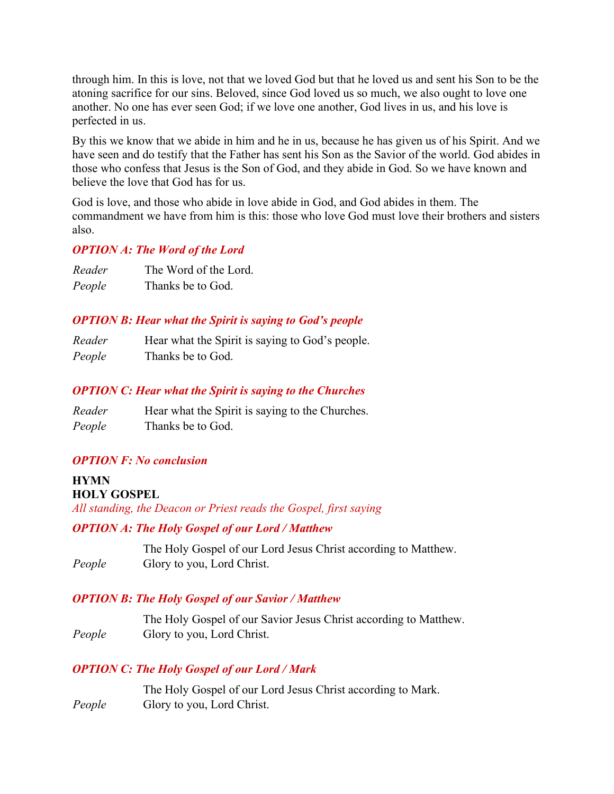through him. In this is love, not that we loved God but that he loved us and sent his Son to be the atoning sacrifice for our sins. Beloved, since God loved us so much, we also ought to love one another. No one has ever seen God; if we love one another, God lives in us, and his love is perfected in us.

By this we know that we abide in him and he in us, because he has given us of his Spirit. And we have seen and do testify that the Father has sent his Son as the Savior of the world. God abides in those who confess that Jesus is the Son of God, and they abide in God. So we have known and believe the love that God has for us.

God is love, and those who abide in love abide in God, and God abides in them. The commandment we have from him is this: those who love God must love their brothers and sisters also.

#### *OPTION A: The Word of the Lord*

| Reader | The Word of the Lord. |
|--------|-----------------------|
| People | Thanks be to God.     |

#### *OPTION B: Hear what the Spirit is saying to God's people*

| Reader | Hear what the Spirit is saying to God's people. |
|--------|-------------------------------------------------|
| People | Thanks be to God.                               |

## *OPTION C: Hear what the Spirit is saying to the Churches*

| Reader | Hear what the Spirit is saying to the Churches. |
|--------|-------------------------------------------------|
| People | Thanks be to God.                               |

## *OPTION F: No conclusion*

**HYMN HOLY GOSPEL** *All standing, the Deacon or Priest reads the Gospel, first saying*

#### *OPTION A: The Holy Gospel of our Lord / Matthew*

The Holy Gospel of our Lord Jesus Christ according to Matthew. *People* Glory to you, Lord Christ.

## *OPTION B: The Holy Gospel of our Savior / Matthew*

The Holy Gospel of our Savior Jesus Christ according to Matthew. *People* Glory to you, Lord Christ.

#### *OPTION C: The Holy Gospel of our Lord / Mark*

The Holy Gospel of our Lord Jesus Christ according to Mark. *People* Glory to you, Lord Christ.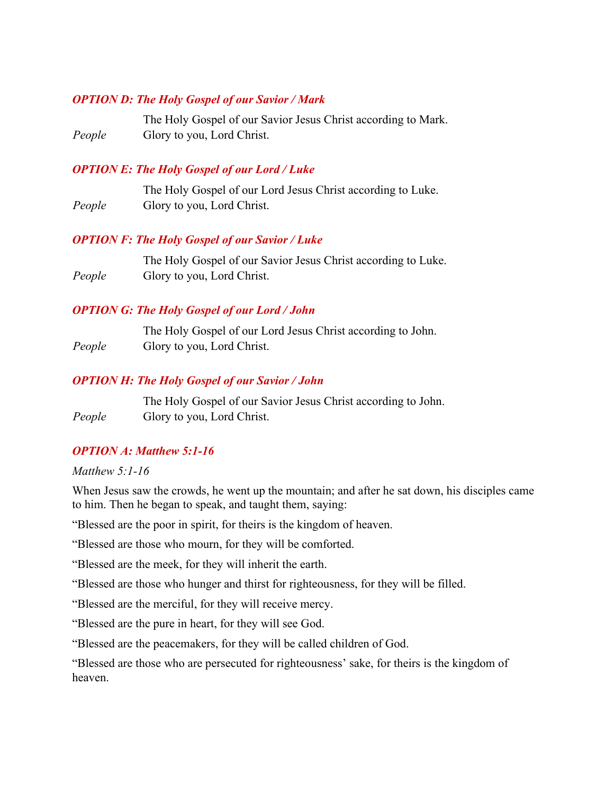#### *OPTION D: The Holy Gospel of our Savior / Mark*

The Holy Gospel of our Savior Jesus Christ according to Mark. *People* Glory to you, Lord Christ.

## *OPTION E: The Holy Gospel of our Lord / Luke*

|        | The Holy Gospel of our Lord Jesus Christ according to Luke. |
|--------|-------------------------------------------------------------|
| People | Glory to you, Lord Christ.                                  |

## *OPTION F: The Holy Gospel of our Savior / Luke*

The Holy Gospel of our Savior Jesus Christ according to Luke. *People* Glory to you, Lord Christ.

## *OPTION G: The Holy Gospel of our Lord / John*

|        | The Holy Gospel of our Lord Jesus Christ according to John. |
|--------|-------------------------------------------------------------|
| People | Glory to you, Lord Christ.                                  |

## *OPTION H: The Holy Gospel of our Savior / John*

The Holy Gospel of our Savior Jesus Christ according to John. *People* Glory to you, Lord Christ.

## *OPTION A: Matthew 5:1-16*

#### *Matthew 5:1-16*

When Jesus saw the crowds, he went up the mountain; and after he sat down, his disciples came to him. Then he began to speak, and taught them, saying:

"Blessed are the poor in spirit, for theirs is the kingdom of heaven.

"Blessed are those who mourn, for they will be comforted.

"Blessed are the meek, for they will inherit the earth.

"Blessed are those who hunger and thirst for righteousness, for they will be filled.

"Blessed are the merciful, for they will receive mercy.

"Blessed are the pure in heart, for they will see God.

"Blessed are the peacemakers, for they will be called children of God.

"Blessed are those who are persecuted for righteousness' sake, for theirs is the kingdom of heaven.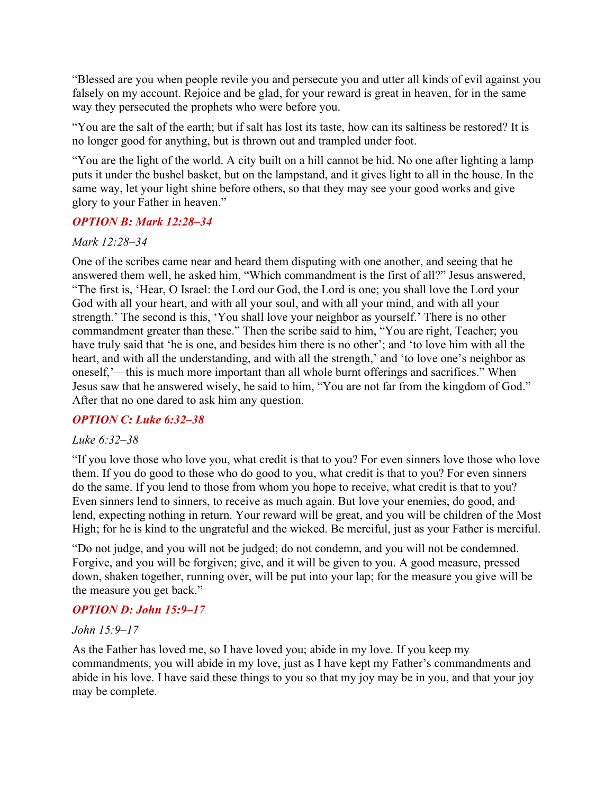"Blessed are you when people revile you and persecute you and utter all kinds of evil against you falsely on my account. Rejoice and be glad, for your reward is great in heaven, for in the same way they persecuted the prophets who were before you.

"You are the salt of the earth; but if salt has lost its taste, how can its saltiness be restored? It is no longer good for anything, but is thrown out and trampled under foot.

"You are the light of the world. A city built on a hill cannot be hid. No one after lighting a lamp puts it under the bushel basket, but on the lampstand, and it gives light to all in the house. In the same way, let your light shine before others, so that they may see your good works and give glory to your Father in heaven."

## *OPTION B: Mark 12:28–34*

## *Mark 12:28–34*

One of the scribes came near and heard them disputing with one another, and seeing that he answered them well, he asked him, "Which commandment is the first of all?" Jesus answered, "The first is, 'Hear, O Israel: the Lord our God, the Lord is one; you shall love the Lord your God with all your heart, and with all your soul, and with all your mind, and with all your strength.' The second is this, 'You shall love your neighbor as yourself.' There is no other commandment greater than these." Then the scribe said to him, "You are right, Teacher; you have truly said that 'he is one, and besides him there is no other'; and 'to love him with all the heart, and with all the understanding, and with all the strength,' and 'to love one's neighbor as oneself,'—this is much more important than all whole burnt offerings and sacrifices." When Jesus saw that he answered wisely, he said to him, "You are not far from the kingdom of God." After that no one dared to ask him any question.

## *OPTION C: Luke 6:32–38*

## *Luke 6:32–38*

"If you love those who love you, what credit is that to you? For even sinners love those who love them. If you do good to those who do good to you, what credit is that to you? For even sinners do the same. If you lend to those from whom you hope to receive, what credit is that to you? Even sinners lend to sinners, to receive as much again. But love your enemies, do good, and lend, expecting nothing in return. Your reward will be great, and you will be children of the Most High; for he is kind to the ungrateful and the wicked. Be merciful, just as your Father is merciful.

"Do not judge, and you will not be judged; do not condemn, and you will not be condemned. Forgive, and you will be forgiven; give, and it will be given to you. A good measure, pressed down, shaken together, running over, will be put into your lap; for the measure you give will be the measure you get back."

## *OPTION D: John 15:9–17*

## *John 15:9–17*

As the Father has loved me, so I have loved you; abide in my love. If you keep my commandments, you will abide in my love, just as I have kept my Father's commandments and abide in his love. I have said these things to you so that my joy may be in you, and that your joy may be complete.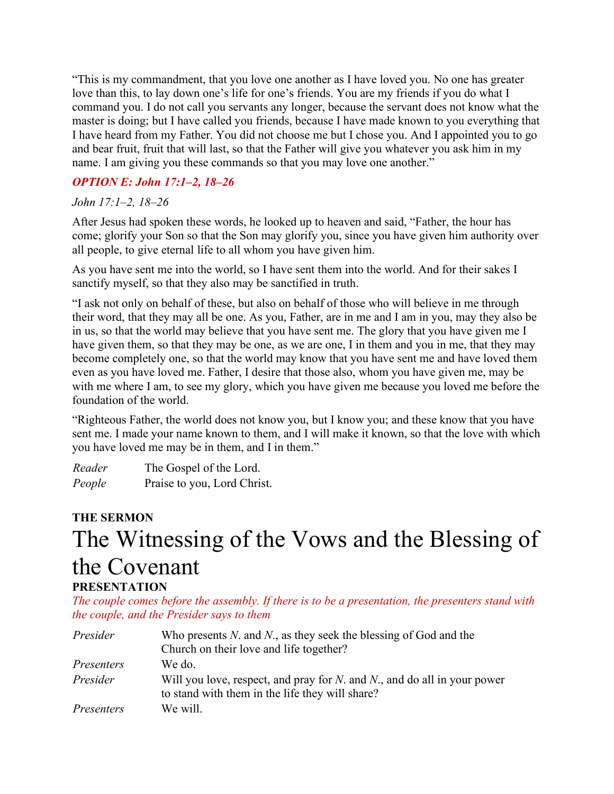"This is my commandment, that you love one another as I have loved you. No one has greater love than this, to lay down one's life for one's friends. You are my friends if you do what I command you. I do not call you servants any longer, because the servant does not know what the master is doing; but I have called you friends, because I have made known to you everything that I have heard from my Father. You did not choose me but I chose you. And I appointed you to go and bear fruit, fruit that will last, so that the Father will give you whatever you ask him in my name. I am giving you these commands so that you may love one another."

# *OPTION E: John 17:1–2, 18–26*

## *John 17:1–2, 18–26*

After Jesus had spoken these words, he looked up to heaven and said, "Father, the hour has come; glorify your Son so that the Son may glorify you, since you have given him authority over all people, to give eternal life to all whom you have given him.

As you have sent me into the world, so I have sent them into the world. And for their sakes I sanctify myself, so that they also may be sanctified in truth.

"I ask not only on behalf of these, but also on behalf of those who will believe in me through their word, that they may all be one. As you, Father, are in me and I am in you, may they also be in us, so that the world may believe that you have sent me. The glory that you have given me I have given them, so that they may be one, as we are one, I in them and you in me, that they may become completely one, so that the world may know that you have sent me and have loved them even as you have loved me. Father, I desire that those also, whom you have given me, may be with me where I am, to see my glory, which you have given me because you loved me before the foundation of the world.

"Righteous Father, the world does not know you, but I know you; and these know that you have sent me. I made your name known to them, and I will make it known, so that the love with which you have loved me may be in them, and I in them."

*Reader* The Gospel of the Lord. *People* Praise to you, Lord Christ.

## **THE SERMON**

# The Witnessing of the Vows and the Blessing of the Covenant

# **PRESENTATION**

*The couple comes before the assembly. If there is to be a presentation, the presenters stand with the couple, and the Presider says to them*

| Presider   | Who presents $N$ and $N$ , as they seek the blessing of God and the<br>Church on their love and life together?              |
|------------|-----------------------------------------------------------------------------------------------------------------------------|
| Presenters | We do -                                                                                                                     |
| Presider   | Will you love, respect, and pray for N. and N., and do all in your power<br>to stand with them in the life they will share? |
| Presenters | We will.                                                                                                                    |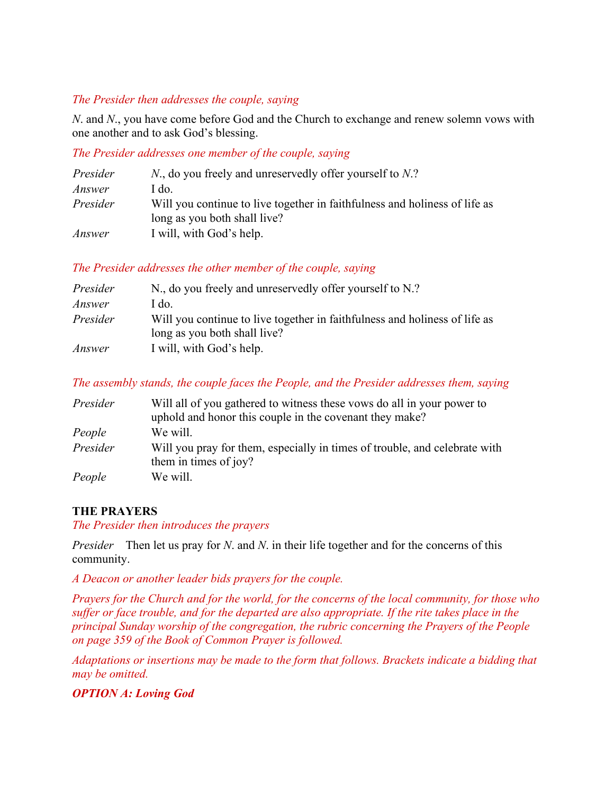## *The Presider then addresses the couple, saying*

*N*. and *N*., you have come before God and the Church to exchange and renew solemn vows with one another and to ask God's blessing.

#### *The Presider addresses one member of the couple, saying*

| Presider | $N_{\cdot}$ , do you freely and unreservedly offer yourself to N.?         |
|----------|----------------------------------------------------------------------------|
| Answer   | I do.                                                                      |
| Presider | Will you continue to live together in faithfulness and holiness of life as |
|          | long as you both shall live?                                               |
| Answer   | I will, with God's help.                                                   |

#### *The Presider addresses the other member of the couple, saying*

| Presider | N., do you freely and unreservedly offer yourself to N.?                                                   |
|----------|------------------------------------------------------------------------------------------------------------|
| Answer   | I do.                                                                                                      |
| Presider | Will you continue to live together in faithfulness and holiness of life as<br>long as you both shall live? |
| Answer   | I will, with God's help.                                                                                   |

#### *The assembly stands, the couple faces the People, and the Presider addresses them, saying*

| Presider | Will all of you gathered to witness these yows do all in your power to<br>uphold and honor this couple in the covenant they make? |
|----------|-----------------------------------------------------------------------------------------------------------------------------------|
| People   | We will.                                                                                                                          |
| Presider | Will you pray for them, especially in times of trouble, and celebrate with<br>them in times of joy?                               |
| People   | We will.                                                                                                                          |

#### **THE PRAYERS**

*The Presider then introduces the prayers*

*Presider* Then let us pray for *N*. and *N*. in their life together and for the concerns of this community.

*A Deacon or another leader bids prayers for the couple.*

*Prayers for the Church and for the world, for the concerns of the local community, for those who suffer or face trouble, and for the departed are also appropriate. If the rite takes place in the principal Sunday worship of the congregation, the rubric concerning the Prayers of the People on page 359 of the Book of Common Prayer is followed.*

*Adaptations or insertions may be made to the form that follows. Brackets indicate a bidding that may be omitted.*

*OPTION A: Loving God*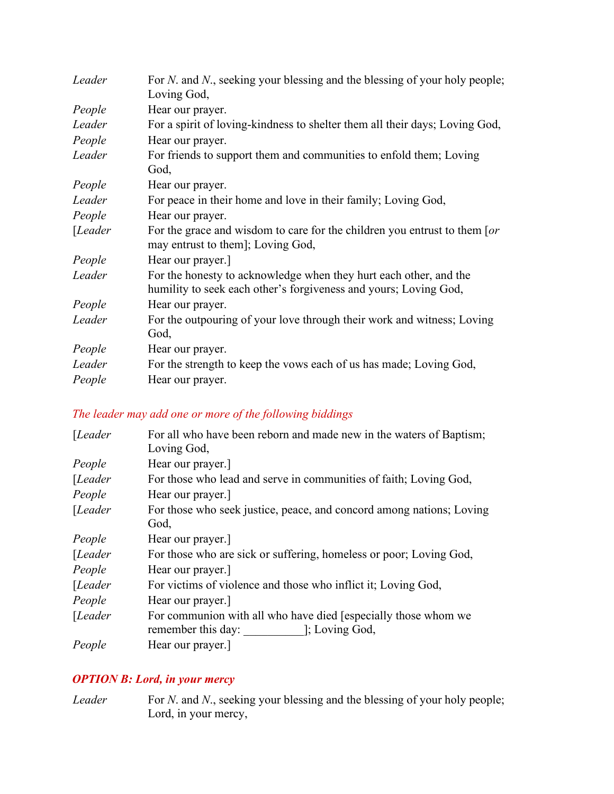| Leader  | For N. and N., seeking your blessing and the blessing of your holy people;<br>Loving God,                                             |
|---------|---------------------------------------------------------------------------------------------------------------------------------------|
| People  | Hear our prayer.                                                                                                                      |
| Leader  | For a spirit of loving-kindness to shelter them all their days; Loving God,                                                           |
| People  | Hear our prayer.                                                                                                                      |
| Leader  | For friends to support them and communities to enfold them; Loving<br>God,                                                            |
| People  | Hear our prayer.                                                                                                                      |
| Leader  | For peace in their home and love in their family; Loving God,                                                                         |
| People  | Hear our prayer.                                                                                                                      |
| [Leader | For the grace and wisdom to care for the children you entrust to them [or<br>may entrust to them]; Loving God,                        |
| People  | Hear our prayer.                                                                                                                      |
| Leader  | For the honesty to acknowledge when they hurt each other, and the<br>humility to seek each other's forgiveness and yours; Loving God, |
| People  | Hear our prayer.                                                                                                                      |
| Leader  | For the outpouring of your love through their work and witness; Loving                                                                |
|         | God,                                                                                                                                  |
| People  | Hear our prayer.                                                                                                                      |
| Leader  | For the strength to keep the vows each of us has made; Loving God,                                                                    |
| People  | Hear our prayer.                                                                                                                      |

# *The leader may add one or more of the following biddings*

| [Leader] | For all who have been reborn and made new in the waters of Baptism;<br>Loving God,                    |
|----------|-------------------------------------------------------------------------------------------------------|
| People   | Hear our prayer.]                                                                                     |
| [Leader] | For those who lead and serve in communities of faith; Loving God,                                     |
| People   | Hear our prayer.                                                                                      |
| [Leader] | For those who seek justice, peace, and concord among nations; Loving<br>God,                          |
| People   | Hear our prayer.]                                                                                     |
| [Leader] | For those who are sick or suffering, homeless or poor; Loving God,                                    |
| People   | Hear our prayer.                                                                                      |
| [Leader] | For victims of violence and those who inflict it; Loving God,                                         |
| People   | Hear our prayer.                                                                                      |
| [Leader  | For communion with all who have died [especially those whom we<br>. Loving God,<br>remember this day: |
| People   | Hear our prayer.]                                                                                     |

# *OPTION B: Lord, in your mercy*

*Leader* For *N*. and *N*., seeking your blessing and the blessing of your holy people; Lord, in your mercy,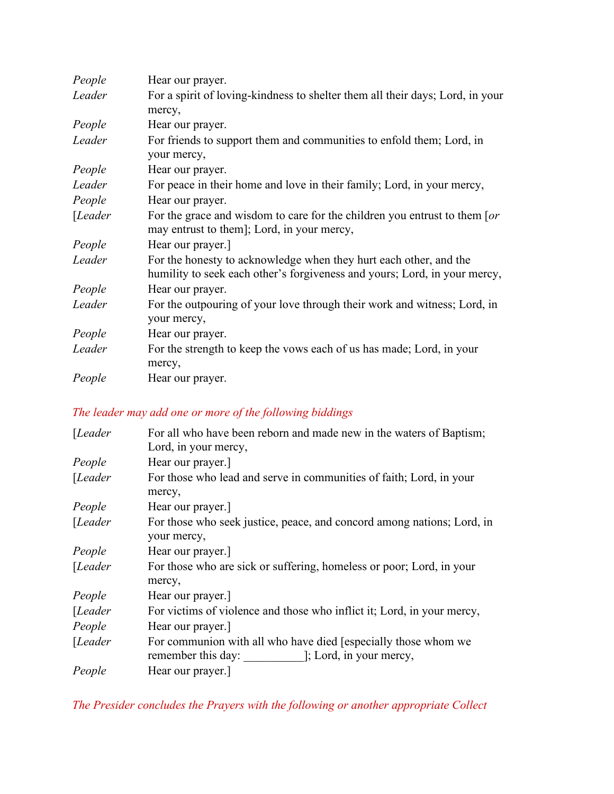| People  | Hear our prayer.                                                                                                                               |
|---------|------------------------------------------------------------------------------------------------------------------------------------------------|
| Leader  | For a spirit of loving-kindness to shelter them all their days; Lord, in your<br>mercy,                                                        |
| People  | Hear our prayer.                                                                                                                               |
| Leader  | For friends to support them and communities to enfold them; Lord, in<br>your mercy,                                                            |
| People  | Hear our prayer.                                                                                                                               |
| Leader  | For peace in their home and love in their family; Lord, in your mercy,                                                                         |
| People  | Hear our prayer.                                                                                                                               |
| [Leader | For the grace and wisdom to care for the children you entrust to them [or<br>may entrust to them]; Lord, in your mercy,                        |
| People  | Hear our prayer.                                                                                                                               |
| Leader  | For the honesty to acknowledge when they hurt each other, and the<br>humility to seek each other's forgiveness and yours; Lord, in your mercy, |
| People  | Hear our prayer.                                                                                                                               |
| Leader  | For the outpouring of your love through their work and witness; Lord, in<br>your mercy,                                                        |
| People  | Hear our prayer.                                                                                                                               |
| Leader  | For the strength to keep the vows each of us has made; Lord, in your<br>mercy,                                                                 |
| People  | Hear our prayer.                                                                                                                               |

# *The leader may add one or more of the following biddings*

| [Leader] | For all who have been reborn and made new in the waters of Baptism;<br>Lord, in your mercy,                            |
|----------|------------------------------------------------------------------------------------------------------------------------|
| People   | Hear our prayer.                                                                                                       |
| [Leader] | For those who lead and serve in communities of faith; Lord, in your<br>mercy,                                          |
| People   | Hear our prayer.                                                                                                       |
| [Leader  | For those who seek justice, peace, and concord among nations; Lord, in<br>your mercy,                                  |
| People   | Hear our prayer.                                                                                                       |
| [Leader  | For those who are sick or suffering, homeless or poor; Lord, in your<br>mercy,                                         |
| People   | Hear our prayer.                                                                                                       |
| [Leader] | For victims of violence and those who inflict it; Lord, in your mercy,                                                 |
| People   | Hear our prayer.                                                                                                       |
| [Leader] | For communion with all who have died [especially those whom we<br>$\vert$ ; Lord, in your mercy,<br>remember this day: |
| People   | Hear our prayer.]                                                                                                      |

*The Presider concludes the Prayers with the following or another appropriate Collect*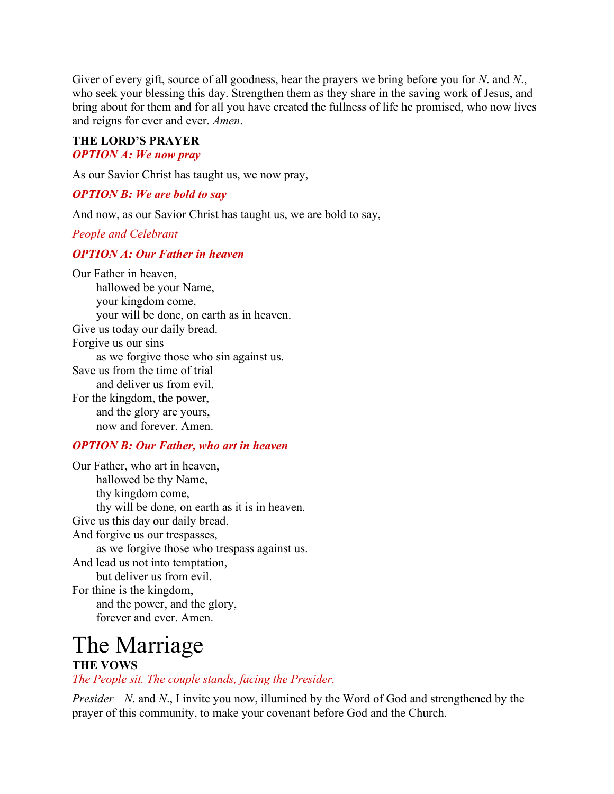Giver of every gift, source of all goodness, hear the prayers we bring before you for *N*. and *N*., who seek your blessing this day. Strengthen them as they share in the saving work of Jesus, and bring about for them and for all you have created the fullness of life he promised, who now lives and reigns for ever and ever. *Amen*.

# **THE LORD'S PRAYER**

## *OPTION A: We now pray*

As our Savior Christ has taught us, we now pray,

#### *OPTION B: We are bold to say*

And now, as our Savior Christ has taught us, we are bold to say,

#### *People and Celebrant*

## *OPTION A: Our Father in heaven*

Our Father in heaven, hallowed be your Name, your kingdom come, your will be done, on earth as in heaven. Give us today our daily bread. Forgive us our sins as we forgive those who sin against us. Save us from the time of trial and deliver us from evil. For the kingdom, the power, and the glory are yours, now and forever. Amen.

#### *OPTION B: Our Father, who art in heaven*

Our Father, who art in heaven, hallowed be thy Name, thy kingdom come, thy will be done, on earth as it is in heaven. Give us this day our daily bread. And forgive us our trespasses, as we forgive those who trespass against us. And lead us not into temptation, but deliver us from evil. For thine is the kingdom, and the power, and the glory, forever and ever. Amen.

# The Marriage

## **THE VOWS**

*The People sit. The couple stands, facing the Presider.*

*Presider N*. and *N*., I invite you now, illumined by the Word of God and strengthened by the prayer of this community, to make your covenant before God and the Church.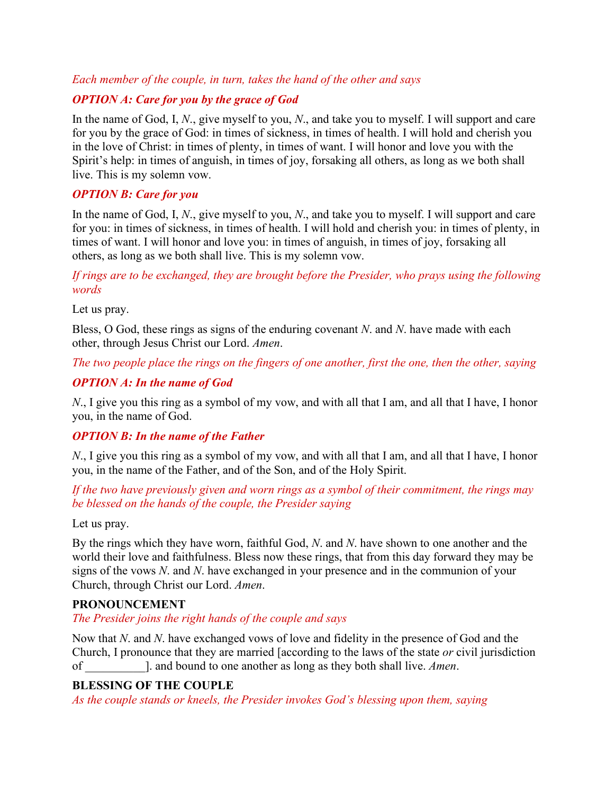#### *Each member of the couple, in turn, takes the hand of the other and says*

## *OPTION A: Care for you by the grace of God*

In the name of God, I, *N*., give myself to you, *N*., and take you to myself. I will support and care for you by the grace of God: in times of sickness, in times of health. I will hold and cherish you in the love of Christ: in times of plenty, in times of want. I will honor and love you with the Spirit's help: in times of anguish, in times of joy, forsaking all others, as long as we both shall live. This is my solemn vow.

#### *OPTION B: Care for you*

In the name of God, I, *N*., give myself to you, *N*., and take you to myself. I will support and care for you: in times of sickness, in times of health. I will hold and cherish you: in times of plenty, in times of want. I will honor and love you: in times of anguish, in times of joy, forsaking all others, as long as we both shall live. This is my solemn vow.

*If rings are to be exchanged, they are brought before the Presider, who prays using the following words*

Let us pray.

Bless, O God, these rings as signs of the enduring covenant *N*. and *N*. have made with each other, through Jesus Christ our Lord. *Amen*.

*The two people place the rings on the fingers of one another, first the one, then the other, saying*

## *OPTION A: In the name of God*

*N*., I give you this ring as a symbol of my vow, and with all that I am, and all that I have, I honor you, in the name of God.

#### *OPTION B: In the name of the Father*

*N*., I give you this ring as a symbol of my vow, and with all that I am, and all that I have, I honor you, in the name of the Father, and of the Son, and of the Holy Spirit.

*If the two have previously given and worn rings as a symbol of their commitment, the rings may be blessed on the hands of the couple, the Presider saying*

Let us pray.

By the rings which they have worn, faithful God, *N*. and *N*. have shown to one another and the world their love and faithfulness. Bless now these rings, that from this day forward they may be signs of the vows *N*. and *N*. have exchanged in your presence and in the communion of your Church, through Christ our Lord. *Amen*.

#### **PRONOUNCEMENT**

*The Presider joins the right hands of the couple and says*

Now that *N*. and *N*. have exchanged vows of love and fidelity in the presence of God and the Church, I pronounce that they are married [according to the laws of the state *or* civil jurisdiction of \_\_\_\_\_\_\_\_\_\_]. and bound to one another as long as they both shall live. *Amen*.

## **BLESSING OF THE COUPLE**

*As the couple stands or kneels, the Presider invokes God's blessing upon them, saying*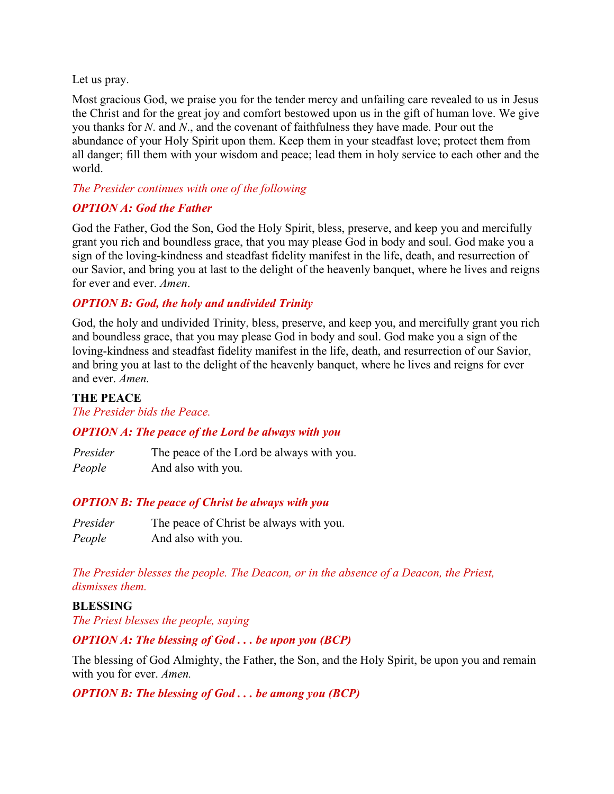Let us pray.

Most gracious God, we praise you for the tender mercy and unfailing care revealed to us in Jesus the Christ and for the great joy and comfort bestowed upon us in the gift of human love. We give you thanks for *N*. and *N*., and the covenant of faithfulness they have made. Pour out the abundance of your Holy Spirit upon them. Keep them in your steadfast love; protect them from all danger; fill them with your wisdom and peace; lead them in holy service to each other and the world.

## *The Presider continues with one of the following*

## *OPTION A: God the Father*

God the Father, God the Son, God the Holy Spirit, bless, preserve, and keep you and mercifully grant you rich and boundless grace, that you may please God in body and soul. God make you a sign of the loving-kindness and steadfast fidelity manifest in the life, death, and resurrection of our Savior, and bring you at last to the delight of the heavenly banquet, where he lives and reigns for ever and ever. *Amen*.

## *OPTION B: God, the holy and undivided Trinity*

God, the holy and undivided Trinity, bless, preserve, and keep you, and mercifully grant you rich and boundless grace, that you may please God in body and soul. God make you a sign of the loving-kindness and steadfast fidelity manifest in the life, death, and resurrection of our Savior, and bring you at last to the delight of the heavenly banquet, where he lives and reigns for ever and ever. *Amen.*

#### **THE PEACE**

*The Presider bids the Peace.*

## *OPTION A: The peace of the Lord be always with you*

*Presider* The peace of the Lord be always with you. *People* And also with you.

## *OPTION B: The peace of Christ be always with you*

| Presider | The peace of Christ be always with you. |
|----------|-----------------------------------------|
| People   | And also with you.                      |

*The Presider blesses the people. The Deacon, or in the absence of a Deacon, the Priest, dismisses them.*

## **BLESSING**

*The Priest blesses the people, saying*

## *OPTION A: The blessing of God . . . be upon you (BCP)*

The blessing of God Almighty, the Father, the Son, and the Holy Spirit, be upon you and remain with you for ever. *Amen.*

*OPTION B: The blessing of God . . . be among you (BCP)*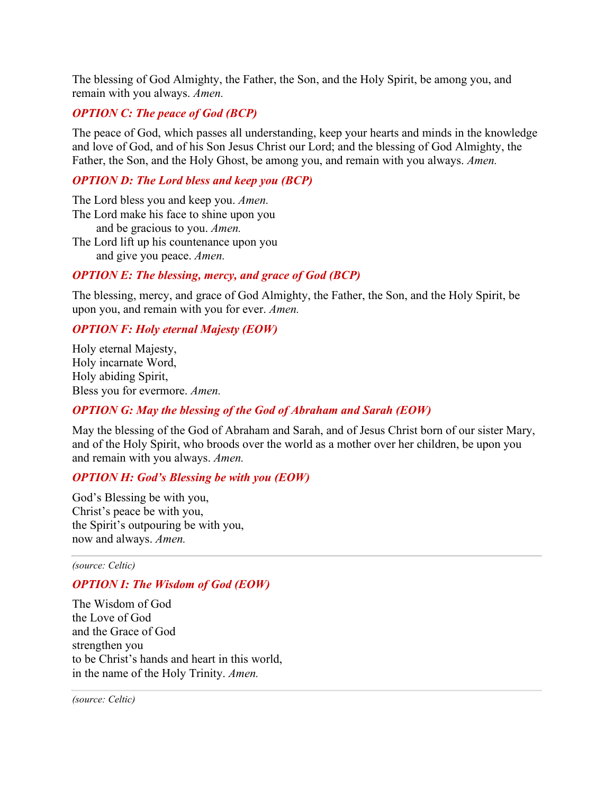The blessing of God Almighty, the Father, the Son, and the Holy Spirit, be among you, and remain with you always. *Amen.*

## *OPTION C: The peace of God (BCP)*

The peace of God, which passes all understanding, keep your hearts and minds in the knowledge and love of God, and of his Son Jesus Christ our Lord; and the blessing of God Almighty, the Father, the Son, and the Holy Ghost, be among you, and remain with you always. *Amen.*

## *OPTION D: The Lord bless and keep you (BCP)*

The Lord bless you and keep you. *Amen.*

- The Lord make his face to shine upon you and be gracious to you. *Amen.*
- The Lord lift up his countenance upon you and give you peace. *Amen.*

## *OPTION E: The blessing, mercy, and grace of God (BCP)*

The blessing, mercy, and grace of God Almighty, the Father, the Son, and the Holy Spirit, be upon you, and remain with you for ever. *Amen.*

## *OPTION F: Holy eternal Majesty (EOW)*

Holy eternal Majesty, Holy incarnate Word, Holy abiding Spirit, Bless you for evermore. *Amen.*

## *OPTION G: May the blessing of the God of Abraham and Sarah (EOW)*

May the blessing of the God of Abraham and Sarah, and of Jesus Christ born of our sister Mary, and of the Holy Spirit, who broods over the world as a mother over her children, be upon you and remain with you always. *Amen.*

## *OPTION H: God's Blessing be with you (EOW)*

God's Blessing be with you, Christ's peace be with you, the Spirit's outpouring be with you, now and always. *Amen.*

*(source: Celtic)*

## *OPTION I: The Wisdom of God (EOW)*

The Wisdom of God the Love of God and the Grace of God strengthen you to be Christ's hands and heart in this world, in the name of the Holy Trinity. *Amen.*

*(source: Celtic)*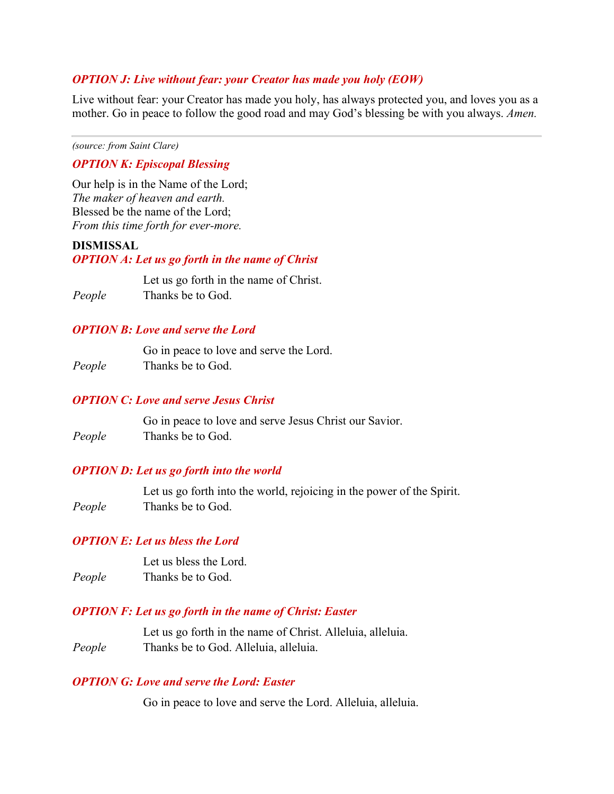#### *OPTION J: Live without fear: your Creator has made you holy (EOW)*

Live without fear: your Creator has made you holy, has always protected you, and loves you as a mother. Go in peace to follow the good road and may God's blessing be with you always. *Amen.*

*(source: from Saint Clare)*

#### *OPTION K: Episcopal Blessing*

Our help is in the Name of the Lord; *The maker of heaven and earth.* Blessed be the name of the Lord; *From this time forth for ever-more.*

#### **DISMISSAL**

#### *OPTION A: Let us go forth in the name of Christ*

Let us go forth in the name of Christ. *People* Thanks be to God.

#### *OPTION B: Love and serve the Lord*

|        | Go in peace to love and serve the Lord. |
|--------|-----------------------------------------|
| People | Thanks be to God.                       |

#### *OPTION C: Love and serve Jesus Christ*

|        | Go in peace to love and serve Jesus Christ our Savior. |
|--------|--------------------------------------------------------|
| People | Thanks be to God.                                      |

#### *OPTION D: Let us go forth into the world*

Let us go forth into the world, rejoicing in the power of the Spirit. *People* Thanks be to God.

#### *OPTION E: Let us bless the Lord*

Let us bless the Lord. *People* Thanks be to God.

#### *OPTION F: Let us go forth in the name of Christ: Easter*

|        | Let us go forth in the name of Christ. Alleluia, alleluia. |
|--------|------------------------------------------------------------|
| People | Thanks be to God. Alleluia, alleluia.                      |

#### *OPTION G: Love and serve the Lord: Easter*

Go in peace to love and serve the Lord. Alleluia, alleluia.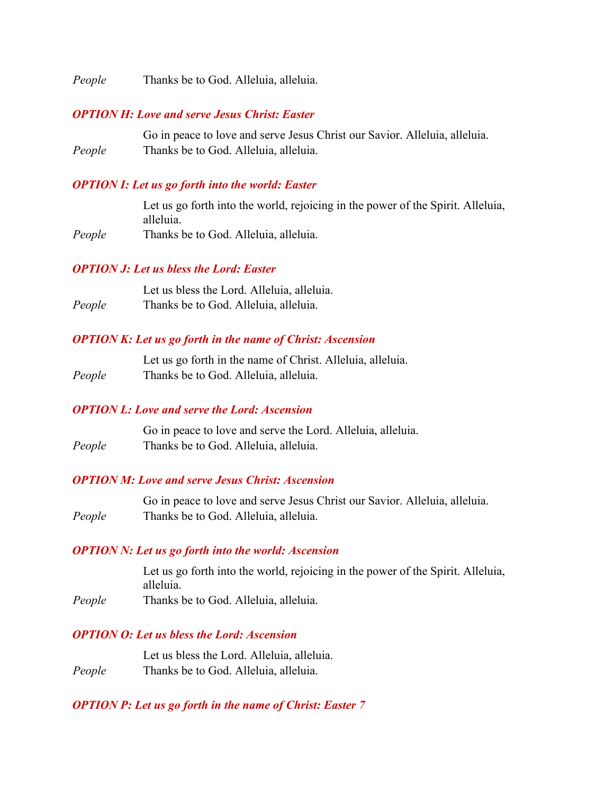*People* Thanks be to God. Alleluia, alleluia.

#### *OPTION H: Love and serve Jesus Christ: Easter*

Go in peace to love and serve Jesus Christ our Savior. Alleluia, alleluia. *People* Thanks be to God. Alleluia, alleluia.

#### *OPTION I: Let us go forth into the world: Easter*

Let us go forth into the world, rejoicing in the power of the Spirit. Alleluia, alleluia. *People* Thanks be to God. Alleluia, alleluia.

#### *OPTION J: Let us bless the Lord: Easter*

|        | Let us bless the Lord. Alleluia, alleluia. |
|--------|--------------------------------------------|
| People | Thanks be to God. Alleluia, alleluia.      |

#### *OPTION K: Let us go forth in the name of Christ: Ascension*

|        | Let us go forth in the name of Christ. Alleluia, alleluia. |
|--------|------------------------------------------------------------|
| People | Thanks be to God. Alleluia, alleluia.                      |

#### *OPTION L: Love and serve the Lord: Ascension*

Go in peace to love and serve the Lord. Alleluia, alleluia. *People* Thanks be to God. Alleluia, alleluia.

#### *OPTION M: Love and serve Jesus Christ: Ascension*

Go in peace to love and serve Jesus Christ our Savior. Alleluia, alleluia. *People* Thanks be to God. Alleluia, alleluia.

#### *OPTION N: Let us go forth into the world: Ascension*

Let us go forth into the world, rejoicing in the power of the Spirit. Alleluia, alleluia.

*People* Thanks be to God. Alleluia, alleluia.

## *OPTION O: Let us bless the Lord: Ascension*

Let us bless the Lord. Alleluia, alleluia. *People* Thanks be to God. Alleluia, alleluia.

#### *OPTION P: Let us go forth in the name of Christ: Easter 7*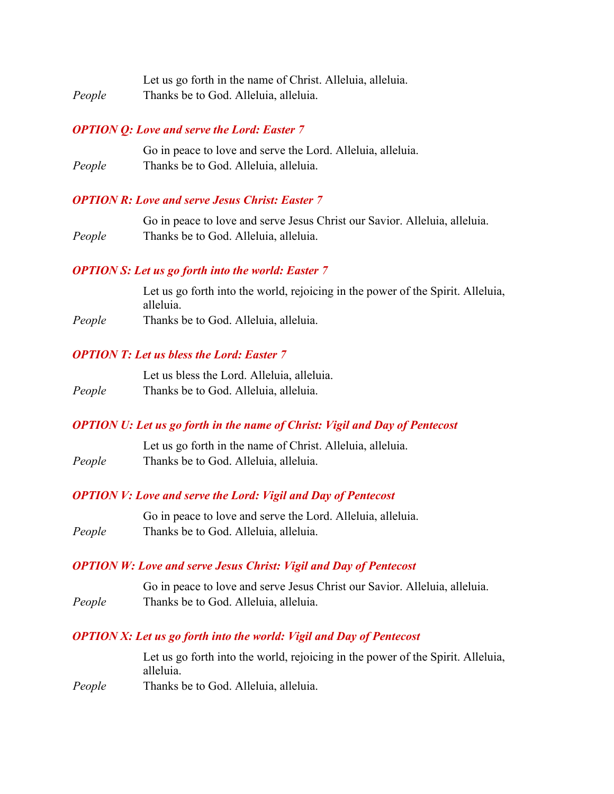|        | Let us go forth in the name of Christ. Alleluia, alleluia. |
|--------|------------------------------------------------------------|
| People | Thanks be to God. Alleluia, alleluia.                      |

#### *OPTION Q: Love and serve the Lord: Easter 7*

|        | Go in peace to love and serve the Lord. Alleluia, alleluia. |
|--------|-------------------------------------------------------------|
| People | Thanks be to God. Alleluia, alleluia.                       |

#### *OPTION R: Love and serve Jesus Christ: Easter 7*

Go in peace to love and serve Jesus Christ our Savior. Alleluia, alleluia. *People* Thanks be to God. Alleluia, alleluia.

#### *OPTION S: Let us go forth into the world: Easter 7*

Let us go forth into the world, rejoicing in the power of the Spirit. Alleluia, alleluia. *People* Thanks be to God. Alleluia, alleluia.

#### *OPTION T: Let us bless the Lord: Easter 7*

|        | Let us bless the Lord. Alleluia, alleluia. |
|--------|--------------------------------------------|
| People | Thanks be to God. Alleluia, alleluia.      |

## *OPTION U: Let us go forth in the name of Christ: Vigil and Day of Pentecost*

Let us go forth in the name of Christ. Alleluia, alleluia. *People* Thanks be to God. Alleluia, alleluia.

#### *OPTION V: Love and serve the Lord: Vigil and Day of Pentecost*

Go in peace to love and serve the Lord. Alleluia, alleluia. *People* Thanks be to God. Alleluia, alleluia.

#### *OPTION W: Love and serve Jesus Christ: Vigil and Day of Pentecost*

Go in peace to love and serve Jesus Christ our Savior. Alleluia, alleluia. *People* Thanks be to God. Alleluia, alleluia.

## *OPTION X: Let us go forth into the world: Vigil and Day of Pentecost*

Let us go forth into the world, rejoicing in the power of the Spirit. Alleluia, alleluia.

*People* Thanks be to God. Alleluia, alleluia.